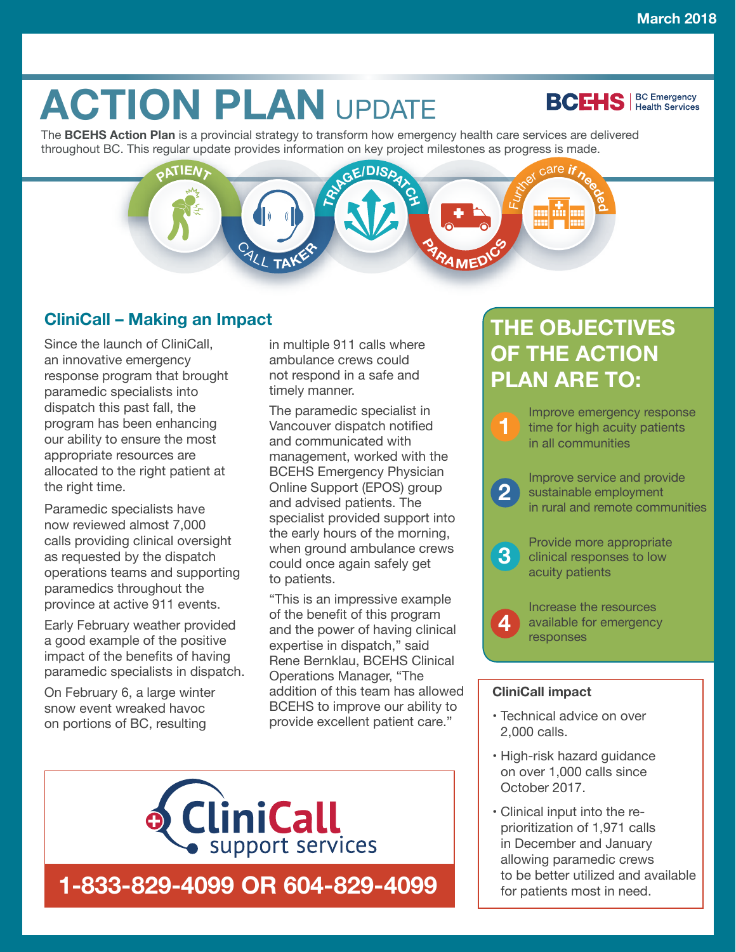**BCEHS** | BC Emergency

# **ACTION PLAN UPDATE**

The **BCEHS Action Plan** is a provincial strategy to transform how emergency health care services are delivered throughout BC. This regular update provides information on key project milestones as progress is made.

## $P$  $\frac{1}{2}$ **f**  $\frac{1}{2}$ **E** <sup>C</sup>AL<sup>L</sup> **<sup>T</sup>AKE<sup>R</sup> <sup>P</sup>ARAMED<sup>I</sup>C<sup>S</sup>**

## **CliniCall – Making an Impact**

Since the launch of CliniCall, an innovative emergency response program that brought paramedic specialists into dispatch this past fall, the program has been enhancing our ability to ensure the most appropriate resources are allocated to the right patient at the right time.

Paramedic specialists have now reviewed almost 7,000 calls providing clinical oversight as requested by the dispatch operations teams and supporting paramedics throughout the province at active 911 events.

Early February weather provided a good example of the positive impact of the benefits of having paramedic specialists in dispatch.

On February 6, a large winter snow event wreaked havoc on portions of BC, resulting

in multiple 911 calls where ambulance crews could not respond in a safe and timely manner.

The paramedic specialist in Vancouver dispatch notified and communicated with management, worked with the BCEHS Emergency Physician Online Support (EPOS) group and advised patients. The specialist provided support into the early hours of the morning, when ground ambulance crews could once again safely get to patients.

"This is an impressive example of the benefit of this program and the power of having clinical expertise in dispatch," said Rene Bernklau, BCEHS Clinical Operations Manager, "The addition of this team has allowed BCEHS to improve our ability to provide excellent patient care."



## **THE OBJECTIVES OF THE ACTION PLAN ARE TO:**



**3** Provide more appropriate<br>
clinical responses to low acuity patients

> Increase the resources available for emergency responses

#### **CliniCall impact**

**4**

- Technical advice on over 2,000 calls.
- High-risk hazard guidance on over 1,000 calls since October 2017.
- Clinical input into the reprioritization of 1,971 calls in December and January allowing paramedic crews to be better utilized and available for patients most in need.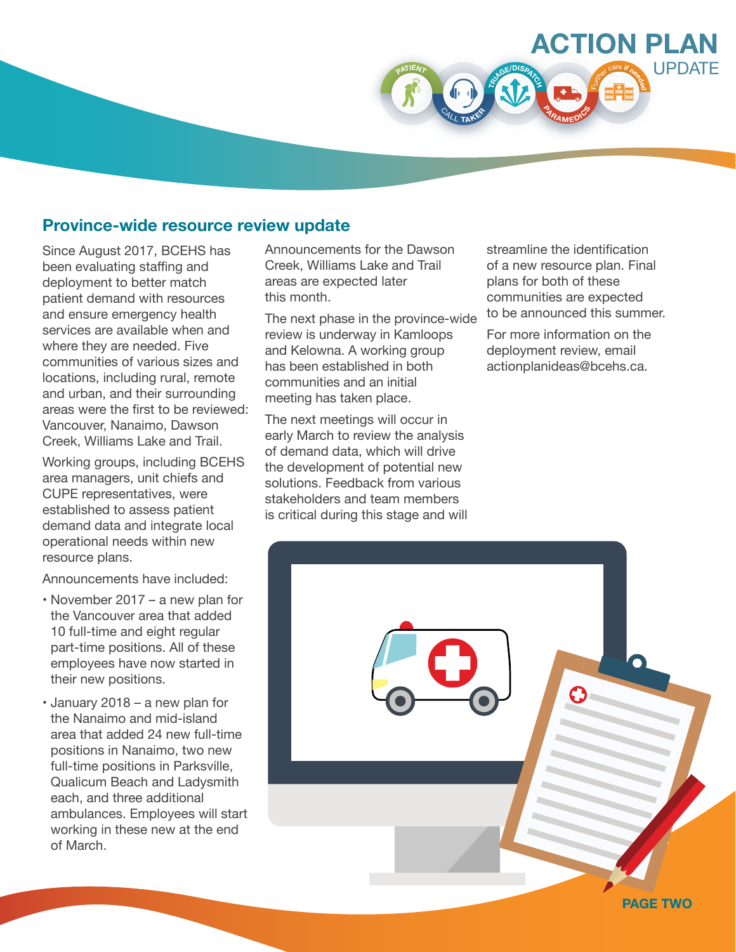

## **Province-wide resource review update**

Since August 2017, BCEHS has been evaluating staffing and deployment to better match patient demand with resources and ensure emergency health services are available when and where they are needed. Five communities of various sizes and locations, including rural, remote and urban, and their surrounding areas were the first to be reviewed: Vancouver, Nanaimo, Dawson Creek, Williams Lake and Trail.

Working groups, including BCEHS area managers, unit chiefs and CUPE representatives, were established to assess patient demand data and integrate local operational needs within new resource plans.

Announcements have included:

- November 2017 a new plan for the Vancouver area that added 10 full-time and eight regular part-time positions. All of these employees have now started in their new positions.
- January 2018 a new plan for the Nanaimo and mid-island area that added 24 new full-time positions in Nanaimo, two new full-time positions in Parksville, Qualicum Beach and Ladysmith each, and three additional ambulances. Employees will start working in these new at the end of March.

Announcements for the Dawson Creek, Williams Lake and Trail areas are expected later this month.

The next phase in the province-wide review is underway in Kamloops and Kelowna. A working group has been established in both communities and an initial meeting has taken place.

The next meetings will occur in early March to review the analysis of demand data, which will drive the development of potential new solutions. Feedback from various stakeholders and team members is critical during this stage and will

streamline the identification of a new resource plan. Final plans for both of these communities are expected to be announced this summer.

For more information on the deployment review, email actionplanideas@bcehs.ca.